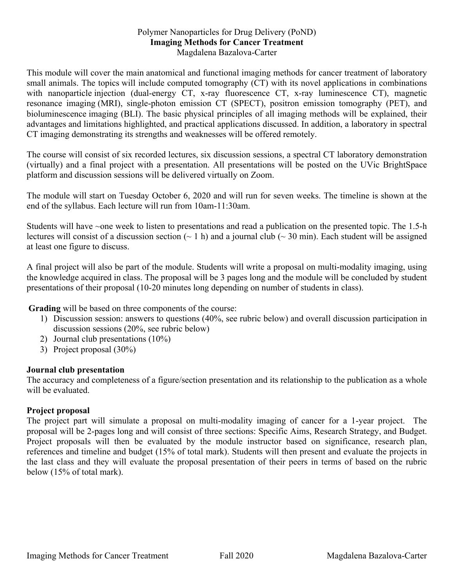## Polymer Nanoparticles for Drug Delivery (PoND) **Imaging Methods for Cancer Treatment** Magdalena Bazalova-Carter

This module will cover the main anatomical and functional imaging methods for cancer treatment of laboratory small animals. The topics will include computed tomography (CT) with its novel applications in combinations with nanoparticle injection (dual-energy CT, x-ray fluorescence CT, x-ray luminescence CT), magnetic resonance imaging (MRI), single-photon emission CT (SPECT), positron emission tomography (PET), and bioluminescence imaging (BLI). The basic physical principles of all imaging methods will be explained, their advantages and limitations highlighted, and practical applications discussed. In addition, a laboratory in spectral CT imaging demonstrating its strengths and weaknesses will be offered remotely.

The course will consist of six recorded lectures, six discussion sessions, a spectral CT laboratory demonstration (virtually) and a final project with a presentation. All presentations will be posted on the UVic BrightSpace platform and discussion sessions will be delivered virtually on Zoom.

The module will start on Tuesday October 6, 2020 and will run for seven weeks. The timeline is shown at the end of the syllabus. Each lecture will run from 10am-11:30am.

Students will have ~one week to listen to presentations and read a publication on the presented topic. The 1.5-h lectures will consist of a discussion section  $(-1 h)$  and a journal club  $(-30 h)$ . Each student will be assigned at least one figure to discuss.

A final project will also be part of the module. Students will write a proposal on multi-modality imaging, using the knowledge acquired in class. The proposal will be 3 pages long and the module will be concluded by student presentations of their proposal (10-20 minutes long depending on number of students in class).

**Grading** will be based on three components of the course:

- 1) Discussion session: answers to questions (40%, see rubric below) and overall discussion participation in discussion sessions (20%, see rubric below)
- 2) Journal club presentations (10%)
- 3) Project proposal (30%)

## **Journal club presentation**

The accuracy and completeness of a figure/section presentation and its relationship to the publication as a whole will be evaluated.

## **Project proposal**

The project part will simulate a proposal on multi-modality imaging of cancer for a 1-year project. The proposal will be 2-pages long and will consist of three sections: Specific Aims, Research Strategy, and Budget. Project proposals will then be evaluated by the module instructor based on significance, research plan, references and timeline and budget (15% of total mark). Students will then present and evaluate the projects in the last class and they will evaluate the proposal presentation of their peers in terms of based on the rubric below (15% of total mark).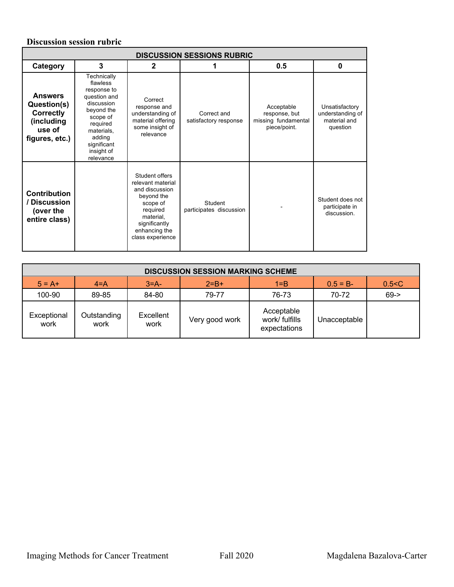## **Discussion session rubric**

| <b>DISCUSSION SESSIONS RUBRIC</b>                                                           |                                                                                                                                                                              |                                                                                                                                                                |                                      |                                                                    |                                                                |
|---------------------------------------------------------------------------------------------|------------------------------------------------------------------------------------------------------------------------------------------------------------------------------|----------------------------------------------------------------------------------------------------------------------------------------------------------------|--------------------------------------|--------------------------------------------------------------------|----------------------------------------------------------------|
| Category                                                                                    | 3                                                                                                                                                                            | $\overline{2}$                                                                                                                                                 |                                      | 0.5                                                                | $\bf{0}$                                                       |
| <b>Answers</b><br>Question(s)<br><b>Correctly</b><br>(including<br>use of<br>figures, etc.) | Technically<br>flawless<br>response to<br>question and<br>discussion<br>beyond the<br>scope of<br>required<br>materials,<br>adding<br>significant<br>insight of<br>relevance | Correct<br>response and<br>understanding of<br>material offering<br>some insight of<br>relevance                                                               | Correct and<br>satisfactory response | Acceptable<br>response, but<br>missing fundamental<br>piece/point. | Unsatisfactory<br>understanding of<br>material and<br>question |
| <b>Contribution</b><br>/ Discussion<br>(over the<br>entire class)                           |                                                                                                                                                                              | Student offers<br>relevant material<br>and discussion<br>beyond the<br>scope of<br>required<br>material.<br>significantly<br>enhancing the<br>class experience | Student<br>participates discussion   |                                                                    | Student does not<br>participate in<br>discussion.              |

| <b>DISCUSSION SESSION MARKING SCHEME</b> |                     |                   |                |                                              |              |          |
|------------------------------------------|---------------------|-------------------|----------------|----------------------------------------------|--------------|----------|
| $5 = A +$                                | $4 = A$             | $3=$ A-           | $2 = B +$      | $1 = B$                                      | $0.5 = B -$  | 0.5 < C  |
| 100-90                                   | 89-85               | 84-80             | 79-77          | 76-73                                        | 70-72        | $69 - >$ |
| Exceptional<br>work                      | Outstanding<br>work | Excellent<br>work | Very good work | Acceptable<br>work/ fulfills<br>expectations | Unacceptable |          |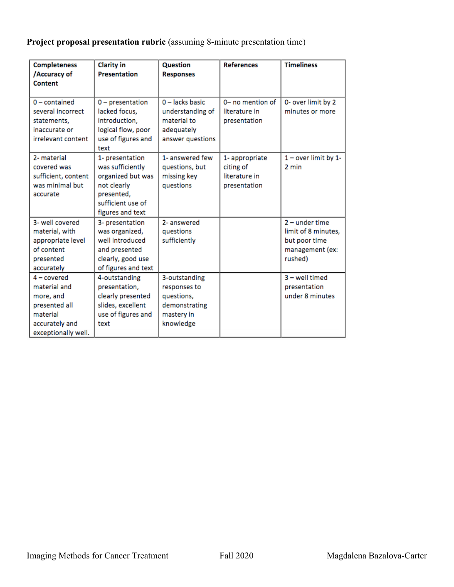**Project proposal presentation rubric** (assuming 8-minute presentation time)

| <b>Completeness</b><br>/Accuracy of<br>Content                                                                   | <b>Clarity in</b><br><b>Presentation</b>                                                                                       | <b>Question</b><br><b>Responses</b>                                                     | <b>References</b>                                           | <b>Timeliness</b>                                                                      |
|------------------------------------------------------------------------------------------------------------------|--------------------------------------------------------------------------------------------------------------------------------|-----------------------------------------------------------------------------------------|-------------------------------------------------------------|----------------------------------------------------------------------------------------|
| $0$ – contained<br>several incorrect<br>statements,<br>inaccurate or<br>irrelevant content                       | $0$ – presentation<br>lacked focus.<br>introduction,<br>logical flow, poor<br>use of figures and<br>text                       | $0$ – lacks basic<br>understanding of<br>material to<br>adequately<br>answer questions  | 0- no mention of<br>literature in<br>presentation           | 0- over limit by 2<br>minutes or more                                                  |
| 2- material<br>covered was<br>sufficient, content<br>was minimal but<br>accurate                                 | 1- presentation<br>was sufficiently<br>organized but was<br>not clearly<br>presented,<br>sufficient use of<br>figures and text | 1- answered few<br>questions, but<br>missing key<br>questions                           | 1-appropriate<br>citing of<br>literature in<br>presentation | 1 - over limit by 1-<br>2 min                                                          |
| 3- well covered<br>material, with<br>appropriate level<br>of content<br>presented<br>accurately                  | 3- presentation<br>was organized,<br>well introduced<br>and presented<br>clearly, good use<br>of figures and text              | 2- answered<br>questions<br>sufficiently                                                |                                                             | $2$ – under time<br>limit of 8 minutes,<br>but poor time<br>management (ex:<br>rushed) |
| $4$ – covered<br>material and<br>more, and<br>presented all<br>material<br>accurately and<br>exceptionally well. | 4-outstanding<br>presentation,<br>clearly presented<br>slides, excellent<br>use of figures and<br>text                         | 3-outstanding<br>responses to<br>questions,<br>demonstrating<br>mastery in<br>knowledge |                                                             | 3 - well timed<br>presentation<br>under 8 minutes                                      |